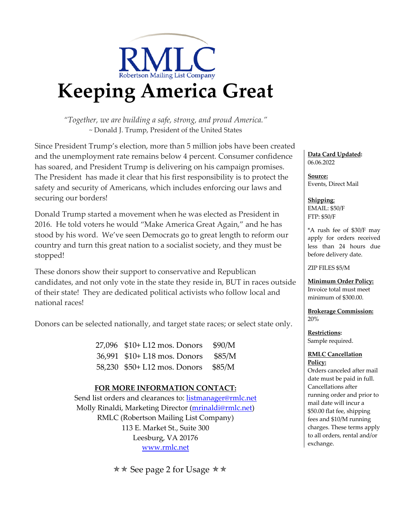

# **Keeping America Great**

*"Together, we are building a safe, strong, and proud America."* ~ Donald J. Trump, President of the United States

Since President Trump's election, more than 5 million jobs have been created and the unemployment rate remains below 4 percent. Consumer confidence has soared, and President Trump is delivering on his campaign promises. The President has made it clear that his first responsibility is to protect the safety and security of Americans, which includes enforcing our laws and securing our borders!

Donald Trump started a movement when he was elected as President in 2016. He told voters he would "Make America Great Again," and he has stood by his word. We've seen Democrats go to great length to reform our country and turn this great nation to a socialist society, and they must be stopped!

These donors show their support to conservative and Republican candidates, and not only vote in the state they reside in, BUT in races outside of their state! They are dedicated political activists who follow local and national races!

Donors can be selected nationally, and target state races; or select state only.

27,096 \$10+ L12 mos. Donors \$90/M 36,991 \$10+ L18 mos. Donors \$85/M 58,230 \$50+ L12 mos. Donors \$85/M

### **FOR MORE INFORMATION CONTACT:**

Send list orders and clearances to: listmanager@rmlc.net Molly Rinaldi, Marketing Director (mrinaldi@rmlc.net) RMLC (Robertson Mailing List Company) 113 E. Market St., Suite 300 Leesburg, VA 20176 www.rmlc.net

 $\star \star$  See page 2 for Usage  $\star \star$ 

**Data Card Updated:**  06.06.2022

**Source:** Events, Direct Mail

**Shipping**: EMAIL: \$50/F FTP: \$50/F

\*A rush fee of \$30/F may apply for orders received less than 24 hours due before delivery date.

ZIP FILES \$5/M

**Minimum Order Policy:** Invoice total must meet minimum of \$300.00.

**Brokerage Commission:** 20%

**Restrictions:** Sample required.

#### **RMLC Cancellation Policy:**

Orders canceled after mail date must be paid in full. Cancellations after running order and prior to mail date will incur a \$50.00 flat fee, shipping fees and \$10/M running charges. These terms apply to all orders, rental and/or exchange.